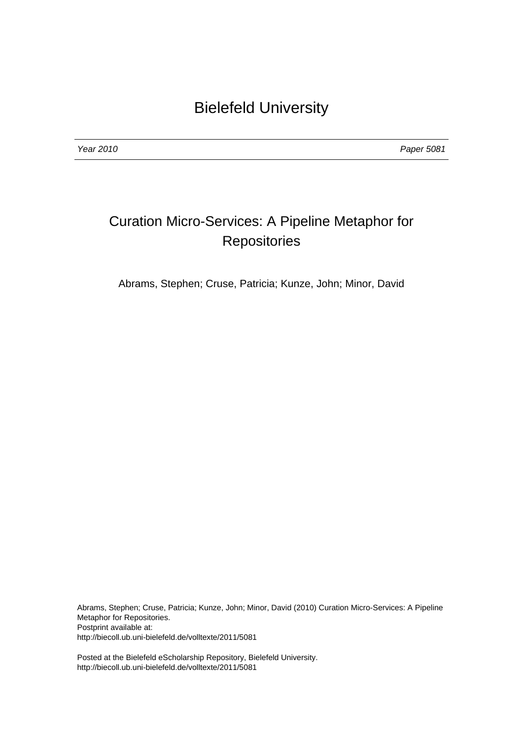Year 2010 Paper 5081

## Curation Micro-Services: A Pipeline Metaphor for **Repositories**

Abrams, Stephen; Cruse, Patricia; Kunze, John; Minor, David

Abrams, Stephen; Cruse, Patricia; Kunze, John; Minor, David (2010) Curation Micro-Services: A Pipeline Metaphor for Repositories. Postprint available at: http://biecoll.ub.uni-bielefeld.de/volltexte/2011/5081

Posted at the Bielefeld eScholarship Repository, Bielefeld University. http://biecoll.ub.uni-bielefeld.de/volltexte/2011/5081